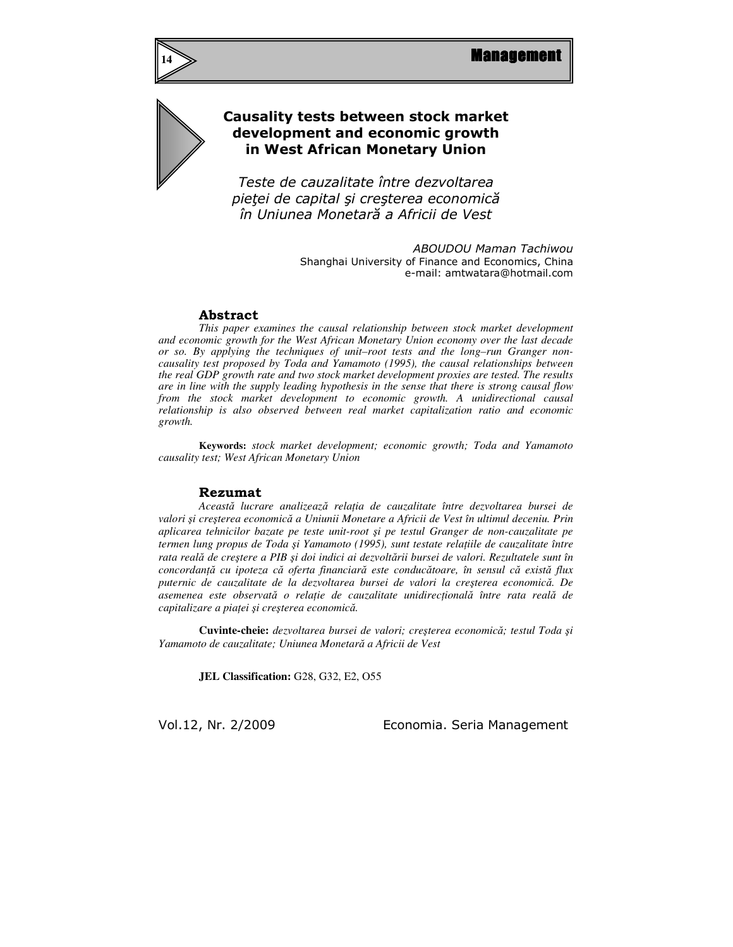

# Causality tests between stock market development and economic growth in West African Monetary Union

Teste de cauzalitate între dezvoltarea pieţei de capital şi creşterea economică în Uniunea Monetară a Africii de Vest

> ABOUDOU Maman Tachiwou Shanghai University of Finance and Economics, China e-mail: amtwatara@hotmail.com

#### Abstract

*This paper examines the causal relationship between stock market development and economic growth for the West African Monetary Union economy over the last decade or so. By applying the techniques of unit–root tests and the long–run Granger noncausality test proposed by Toda and Yamamoto (1995), the causal relationships between the real GDP growth rate and two stock market development proxies are tested. The results are in line with the supply leading hypothesis in the sense that there is strong causal flow from the stock market development to economic growth. A unidirectional causal relationship is also observed between real market capitalization ratio and economic growth.* 

**Keywords:** *stock market development; economic growth; Toda and Yamamoto causality test; West African Monetary Union*

#### Rezumat

*Aceast*ă *lucrare analizeaz*ă *rela*ţ*ia de cauzalitate între dezvoltarea bursei de valori* ş*i cre*ş*terea economic*ă *a Uniunii Monetare a Africii de Vest în ultimul deceniu. Prin aplicarea tehnicilor bazate pe teste unit-root* ş*i pe testul Granger de non-cauzalitate pe termen lung propus de Toda* ş*i Yamamoto (1995), sunt testate rela*ţ*iile de cauzalitate între rata real*ă *de cre*ş*tere a PIB* ş*i doi indici ai dezvolt*ă*rii bursei de valori. Rezultatele sunt în concordan*ţă *cu ipoteza c*ă *oferta financiar*ă *este conduc*ă*toare, în sensul c*ă *exist*ă *flux puternic de cauzalitate de la dezvoltarea bursei de valori la cre*ş*terea economic*ă*. De asemenea este observat*ă *o rela*ţ*ie de cauzalitate unidirec*ţ*ional*ă *între rata real*ă *de capitalizare a pia*ţ*ei* ş*i cre*ş*terea economic*ă*.* 

**Cuvinte-cheie:** *dezvoltarea bursei de valori; cre*ş*terea economic*ă*; testul Toda* ş*i Yamamoto de cauzalitate; Uniunea Monetar*ă *a Africii de Vest* 

**JEL Classification:** G28, G32, E2, O55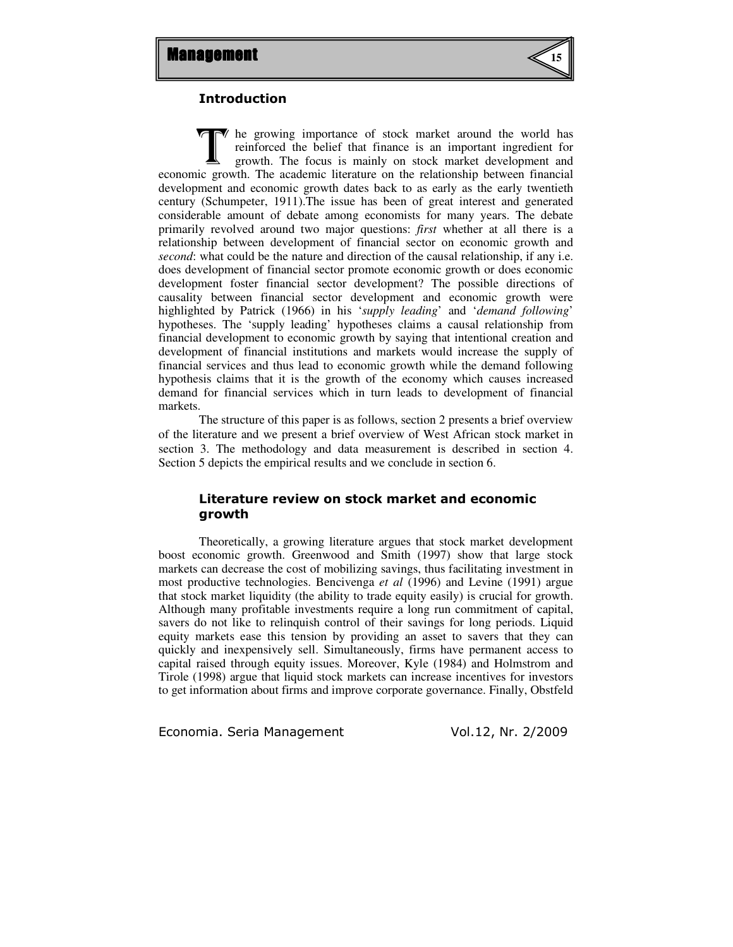

### Introduction

he growing importance of stock market around the world has reinforced the belief that finance is an important ingredient for growth. The focus is mainly on stock market development and economic growth. The academic literature on the relationship between financial development and economic growth dates back to as early as the early twentieth century (Schumpeter, 1911).The issue has been of great interest and generated considerable amount of debate among economists for many years. The debate primarily revolved around two major questions: *first* whether at all there is a relationship between development of financial sector on economic growth and *second*: what could be the nature and direction of the causal relationship, if any i.e. does development of financial sector promote economic growth or does economic development foster financial sector development? The possible directions of causality between financial sector development and economic growth were highlighted by Patrick (1966) in his '*supply leading*' and '*demand following*' hypotheses. The 'supply leading' hypotheses claims a causal relationship from financial development to economic growth by saying that intentional creation and development of financial institutions and markets would increase the supply of financial services and thus lead to economic growth while the demand following hypothesis claims that it is the growth of the economy which causes increased demand for financial services which in turn leads to development of financial markets. T

 The structure of this paper is as follows, section 2 presents a brief overview of the literature and we present a brief overview of West African stock market in section 3. The methodology and data measurement is described in section 4. Section 5 depicts the empirical results and we conclude in section 6.

### Literature review on stock market and economic growth

Theoretically, a growing literature argues that stock market development boost economic growth. Greenwood and Smith (1997) show that large stock markets can decrease the cost of mobilizing savings, thus facilitating investment in most productive technologies. Bencivenga *et al* (1996) and Levine (1991) argue that stock market liquidity (the ability to trade equity easily) is crucial for growth. Although many profitable investments require a long run commitment of capital, savers do not like to relinquish control of their savings for long periods. Liquid equity markets ease this tension by providing an asset to savers that they can quickly and inexpensively sell. Simultaneously, firms have permanent access to capital raised through equity issues. Moreover, Kyle (1984) and Holmstrom and Tirole (1998) argue that liquid stock markets can increase incentives for investors to get information about firms and improve corporate governance. Finally, Obstfeld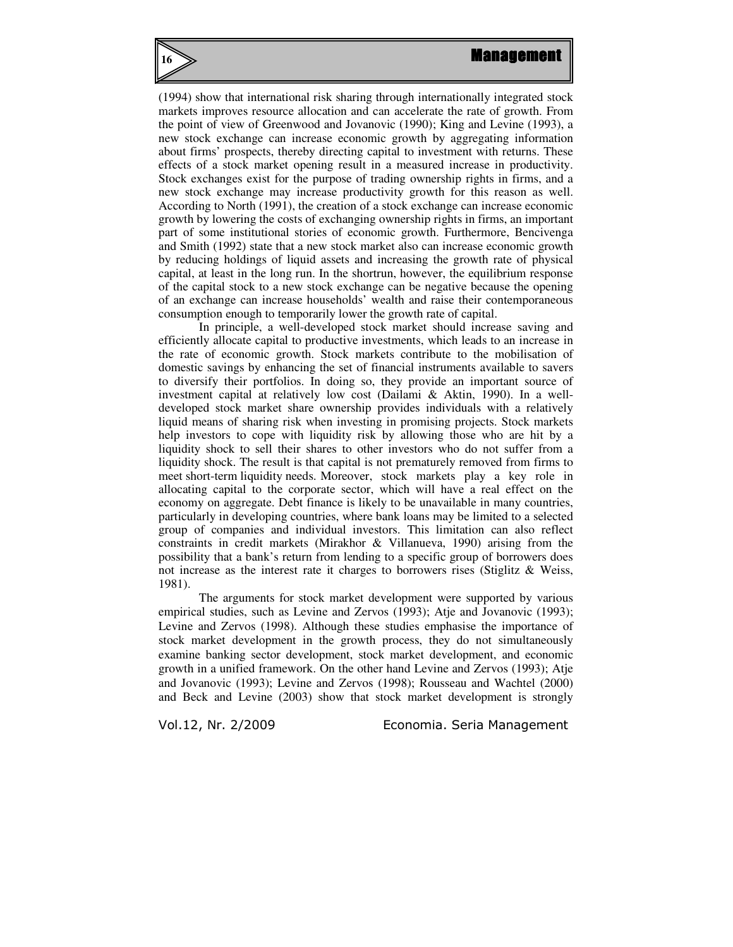

(1994) show that international risk sharing through internationally integrated stock markets improves resource allocation and can accelerate the rate of growth. From the point of view of Greenwood and Jovanovic (1990); King and Levine (1993), a new stock exchange can increase economic growth by aggregating information about firms' prospects, thereby directing capital to investment with returns. These effects of a stock market opening result in a measured increase in productivity. Stock exchanges exist for the purpose of trading ownership rights in firms, and a new stock exchange may increase productivity growth for this reason as well. According to North (1991), the creation of a stock exchange can increase economic growth by lowering the costs of exchanging ownership rights in firms, an important part of some institutional stories of economic growth. Furthermore, Bencivenga and Smith (1992) state that a new stock market also can increase economic growth by reducing holdings of liquid assets and increasing the growth rate of physical capital, at least in the long run. In the shortrun, however, the equilibrium response of the capital stock to a new stock exchange can be negative because the opening of an exchange can increase households' wealth and raise their contemporaneous consumption enough to temporarily lower the growth rate of capital.

 In principle, a well-developed stock market should increase saving and efficiently allocate capital to productive investments, which leads to an increase in the rate of economic growth. Stock markets contribute to the mobilisation of domestic savings by enhancing the set of financial instruments available to savers to diversify their portfolios. In doing so, they provide an important source of investment capital at relatively low cost (Dailami & Aktin, 1990). In a welldeveloped stock market share ownership provides individuals with a relatively liquid means of sharing risk when investing in promising projects. Stock markets help investors to cope with liquidity risk by allowing those who are hit by a liquidity shock to sell their shares to other investors who do not suffer from a liquidity shock. The result is that capital is not prematurely removed from firms to meet short-term liquidity needs. Moreover, stock markets play a key role in allocating capital to the corporate sector, which will have a real effect on the economy on aggregate. Debt finance is likely to be unavailable in many countries, particularly in developing countries, where bank loans may be limited to a selected group of companies and individual investors. This limitation can also reflect constraints in credit markets (Mirakhor & Villanueva, 1990) arising from the possibility that a bank's return from lending to a specific group of borrowers does not increase as the interest rate it charges to borrowers rises (Stiglitz & Weiss, 1981).

 The arguments for stock market development were supported by various empirical studies, such as Levine and Zervos (1993); Atje and Jovanovic (1993); Levine and Zervos (1998). Although these studies emphasise the importance of stock market development in the growth process, they do not simultaneously examine banking sector development, stock market development, and economic growth in a unified framework. On the other hand Levine and Zervos (1993); Atje and Jovanovic (1993); Levine and Zervos (1998); Rousseau and Wachtel (2000) and Beck and Levine (2003) show that stock market development is strongly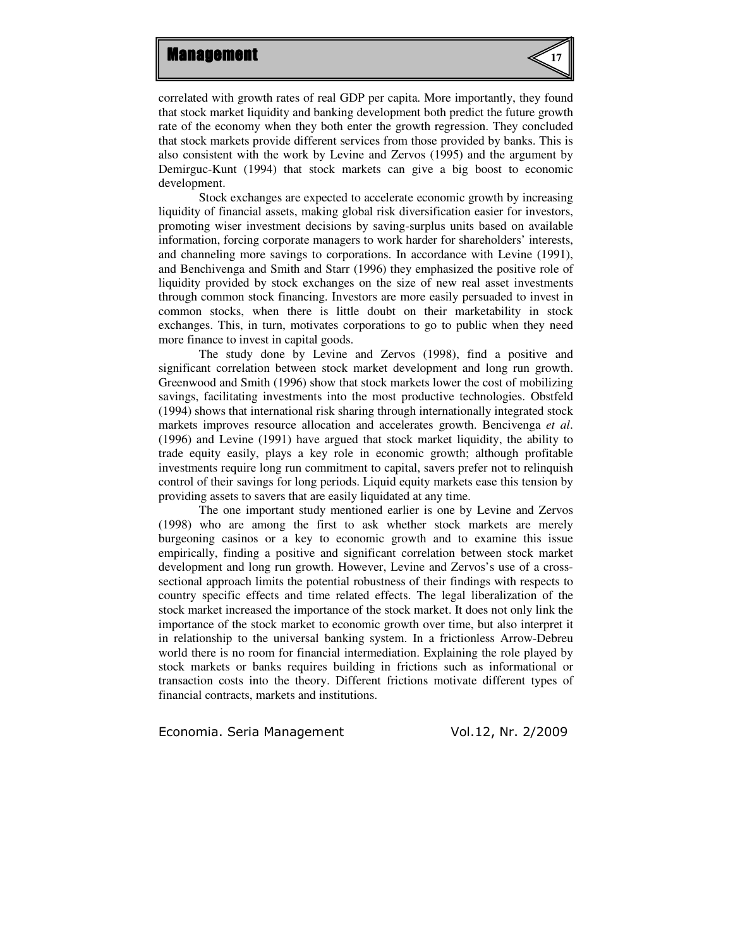

correlated with growth rates of real GDP per capita. More importantly, they found that stock market liquidity and banking development both predict the future growth rate of the economy when they both enter the growth regression. They concluded that stock markets provide different services from those provided by banks. This is also consistent with the work by Levine and Zervos (1995) and the argument by Demirguc-Kunt (1994) that stock markets can give a big boost to economic development.

 Stock exchanges are expected to accelerate economic growth by increasing liquidity of financial assets, making global risk diversification easier for investors, promoting wiser investment decisions by saving-surplus units based on available information, forcing corporate managers to work harder for shareholders' interests, and channeling more savings to corporations. In accordance with Levine (1991), and Benchivenga and Smith and Starr (1996) they emphasized the positive role of liquidity provided by stock exchanges on the size of new real asset investments through common stock financing. Investors are more easily persuaded to invest in common stocks, when there is little doubt on their marketability in stock exchanges. This, in turn, motivates corporations to go to public when they need more finance to invest in capital goods.

 The study done by Levine and Zervos (1998), find a positive and significant correlation between stock market development and long run growth. Greenwood and Smith (1996) show that stock markets lower the cost of mobilizing savings, facilitating investments into the most productive technologies. Obstfeld (1994) shows that international risk sharing through internationally integrated stock markets improves resource allocation and accelerates growth. Bencivenga *et al*. (1996) and Levine (1991) have argued that stock market liquidity, the ability to trade equity easily, plays a key role in economic growth; although profitable investments require long run commitment to capital, savers prefer not to relinquish control of their savings for long periods. Liquid equity markets ease this tension by providing assets to savers that are easily liquidated at any time.

 The one important study mentioned earlier is one by Levine and Zervos (1998) who are among the first to ask whether stock markets are merely burgeoning casinos or a key to economic growth and to examine this issue empirically, finding a positive and significant correlation between stock market development and long run growth. However, Levine and Zervos's use of a crosssectional approach limits the potential robustness of their findings with respects to country specific effects and time related effects. The legal liberalization of the stock market increased the importance of the stock market. It does not only link the importance of the stock market to economic growth over time, but also interpret it in relationship to the universal banking system. In a frictionless Arrow-Debreu world there is no room for financial intermediation. Explaining the role played by stock markets or banks requires building in frictions such as informational or transaction costs into the theory. Different frictions motivate different types of financial contracts, markets and institutions.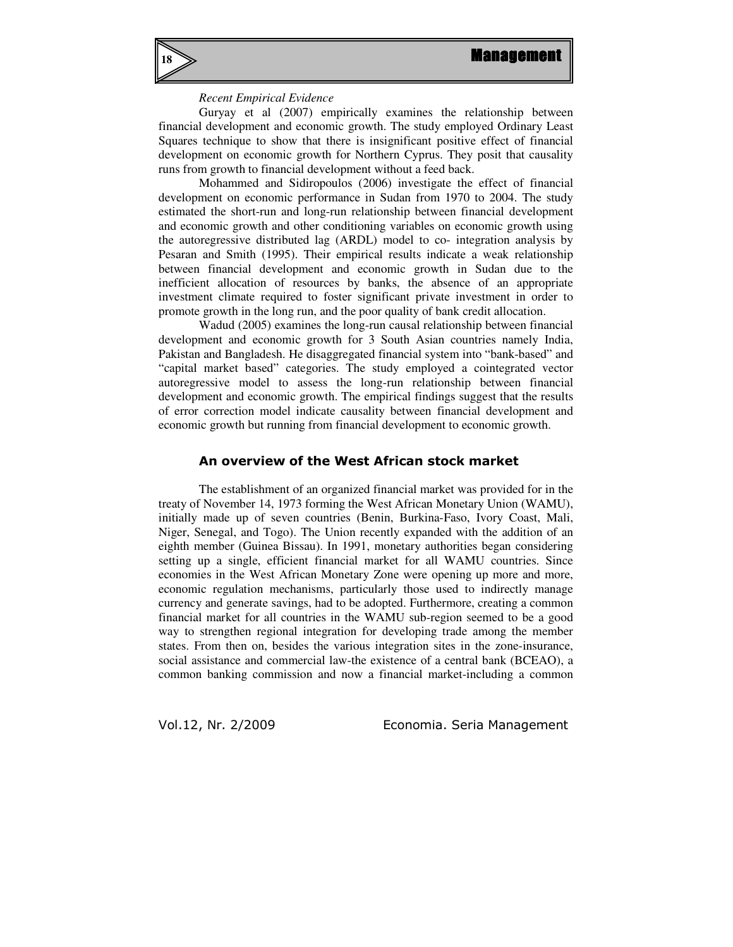

#### *Recent Empirical Evidence*

Guryay et al (2007) empirically examines the relationship between financial development and economic growth. The study employed Ordinary Least Squares technique to show that there is insignificant positive effect of financial development on economic growth for Northern Cyprus. They posit that causality runs from growth to financial development without a feed back.

Mohammed and Sidiropoulos (2006) investigate the effect of financial development on economic performance in Sudan from 1970 to 2004. The study estimated the short-run and long-run relationship between financial development and economic growth and other conditioning variables on economic growth using the autoregressive distributed lag (ARDL) model to co- integration analysis by Pesaran and Smith (1995). Their empirical results indicate a weak relationship between financial development and economic growth in Sudan due to the inefficient allocation of resources by banks, the absence of an appropriate investment climate required to foster significant private investment in order to promote growth in the long run, and the poor quality of bank credit allocation.

Wadud (2005) examines the long-run causal relationship between financial development and economic growth for 3 South Asian countries namely India, Pakistan and Bangladesh. He disaggregated financial system into "bank-based" and "capital market based" categories. The study employed a cointegrated vector autoregressive model to assess the long-run relationship between financial development and economic growth. The empirical findings suggest that the results of error correction model indicate causality between financial development and economic growth but running from financial development to economic growth.

### An overview of the West African stock market

 The establishment of an organized financial market was provided for in the treaty of November 14, 1973 forming the West African Monetary Union (WAMU), initially made up of seven countries (Benin, Burkina-Faso, Ivory Coast, Mali, Niger, Senegal, and Togo). The Union recently expanded with the addition of an eighth member (Guinea Bissau). In 1991, monetary authorities began considering setting up a single, efficient financial market for all WAMU countries. Since economies in the West African Monetary Zone were opening up more and more, economic regulation mechanisms, particularly those used to indirectly manage currency and generate savings, had to be adopted. Furthermore, creating a common financial market for all countries in the WAMU sub-region seemed to be a good way to strengthen regional integration for developing trade among the member states. From then on, besides the various integration sites in the zone-insurance, social assistance and commercial law-the existence of a central bank (BCEAO), a common banking commission and now a financial market-including a common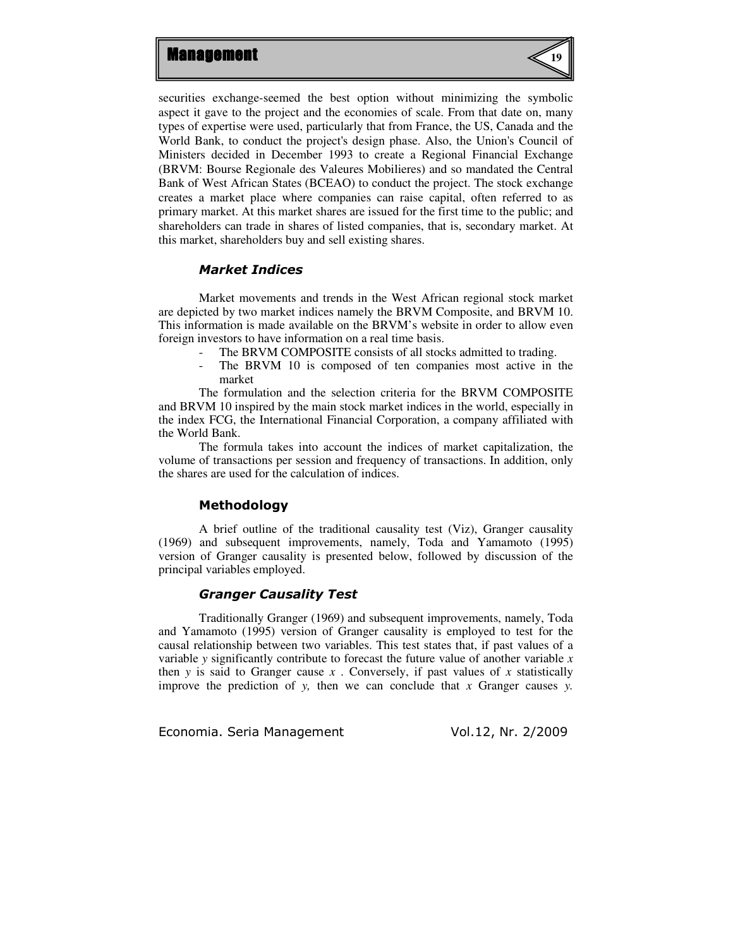

securities exchange-seemed the best option without minimizing the symbolic aspect it gave to the project and the economies of scale. From that date on, many types of expertise were used, particularly that from France, the US, Canada and the World Bank, to conduct the project's design phase. Also, the Union's Council of Ministers decided in December 1993 to create a Regional Financial Exchange (BRVM: Bourse Regionale des Valeures Mobilieres) and so mandated the Central Bank of West African States (BCEAO) to conduct the project. The stock exchange creates a market place where companies can raise capital, often referred to as primary market. At this market shares are issued for the first time to the public; and shareholders can trade in shares of listed companies, that is, secondary market. At this market, shareholders buy and sell existing shares.

## Market Indices

 Market movements and trends in the West African regional stock market are depicted by two market indices namely the BRVM Composite, and BRVM 10. This information is made available on the BRVM's website in order to allow even foreign investors to have information on a real time basis.

- The BRVM COMPOSITE consists of all stocks admitted to trading.
- The BRVM 10 is composed of ten companies most active in the market

 The formulation and the selection criteria for the BRVM COMPOSITE and BRVM 10 inspired by the main stock market indices in the world, especially in the index FCG, the International Financial Corporation, a company affiliated with the World Bank.

The formula takes into account the indices of market capitalization, the volume of transactions per session and frequency of transactions. In addition, only the shares are used for the calculation of indices.

### Methodology

A brief outline of the traditional causality test (Viz), Granger causality (1969) and subsequent improvements, namely, Toda and Yamamoto (1995) version of Granger causality is presented below, followed by discussion of the principal variables employed.

### Granger Causality Test

Traditionally Granger (1969) and subsequent improvements, namely, Toda and Yamamoto (1995) version of Granger causality is employed to test for the causal relationship between two variables. This test states that, if past values of a variable *y* significantly contribute to forecast the future value of another variable *x*  then *y* is said to Granger cause *x*. Conversely, if past values of *x* statistically improve the prediction of *y,* then we can conclude that *x* Granger causes *y.*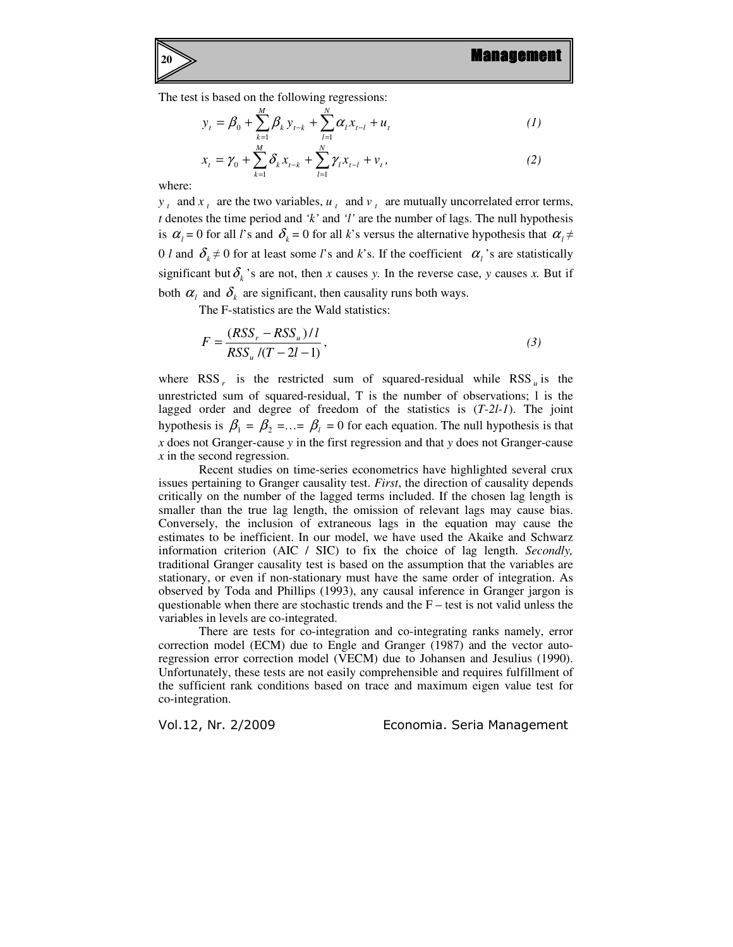**20**

The test is based on the following regressions:

$$
y_{t} = \beta_{0} + \sum_{\substack{k=1 \ M}}^{M} \beta_{k} y_{t-k} + \sum_{\substack{l=1 \ N}}^{N} \alpha_{l} x_{t-l} + u_{t}
$$
 (1)

$$
x_{t} = \gamma_{0} + \sum_{k=1}^{m} \delta_{k} x_{t-k} + \sum_{l=1}^{N} \gamma_{l} x_{t-l} + v_{t}, \qquad (2)
$$

where:

*y*<sub>t</sub> and *x*<sub>t</sub> are the two variables,  $u_t$  and  $v_t$  are mutually uncorrelated error terms, *t* denotes the time period and *'k'* and *'l'* are the number of lags. The null hypothesis is  $\alpha_l = 0$  for all *l*'s and  $\delta_k = 0$  for all *k*'s versus the alternative hypothesis that  $\alpha_l \neq$ 0 *l* and  $\delta_k \neq 0$  for at least some *l*'s and *k*'s. If the coefficient  $\alpha_i$ 's are statistically significant but  $\delta_k$  's are not, then *x* causes *y*. In the reverse case, *y* causes *x*. But if both  $\alpha_i$  and  $\delta_k$  are significant, then causality runs both ways.

The F-statistics are the Wald statistics:

$$
F = \frac{(RSS_r - RSS_u)/l}{RSS_u/(T - 2l - 1)},
$$
\n(3)

where  $RSS<sub>r</sub>$  is the restricted sum of squared-residual while  $RSS<sub>u</sub>$  is the unrestricted sum of squared-residual, T is the number of observations; l is the lagged order and degree of freedom of the statistics is (*T-2l-1*). The joint hypothesis is  $\beta_1 = \beta_2 = \ldots = \beta_l = 0$  for each equation. The null hypothesis is that *x* does not Granger-cause *y* in the first regression and that *y* does not Granger-cause *x* in the second regression.

 Recent studies on time-series econometrics have highlighted several crux issues pertaining to Granger causality test. *First*, the direction of causality depends critically on the number of the lagged terms included. If the chosen lag length is smaller than the true lag length, the omission of relevant lags may cause bias. Conversely, the inclusion of extraneous lags in the equation may cause the estimates to be inefficient. In our model, we have used the Akaike and Schwarz information criterion (AIC / SIC) to fix the choice of lag length. *Secondly,*  traditional Granger causality test is based on the assumption that the variables are stationary, or even if non-stationary must have the same order of integration. As observed by Toda and Phillips (1993), any causal inference in Granger jargon is questionable when there are stochastic trends and the  $F$  – test is not valid unless the variables in levels are co-integrated.

 There are tests for co-integration and co-integrating ranks namely, error correction model (ECM) due to Engle and Granger (1987) and the vector autoregression error correction model (VECM) due to Johansen and Jesulius (1990). Unfortunately, these tests are not easily comprehensible and requires fulfillment of the sufficient rank conditions based on trace and maximum eigen value test for co-integration.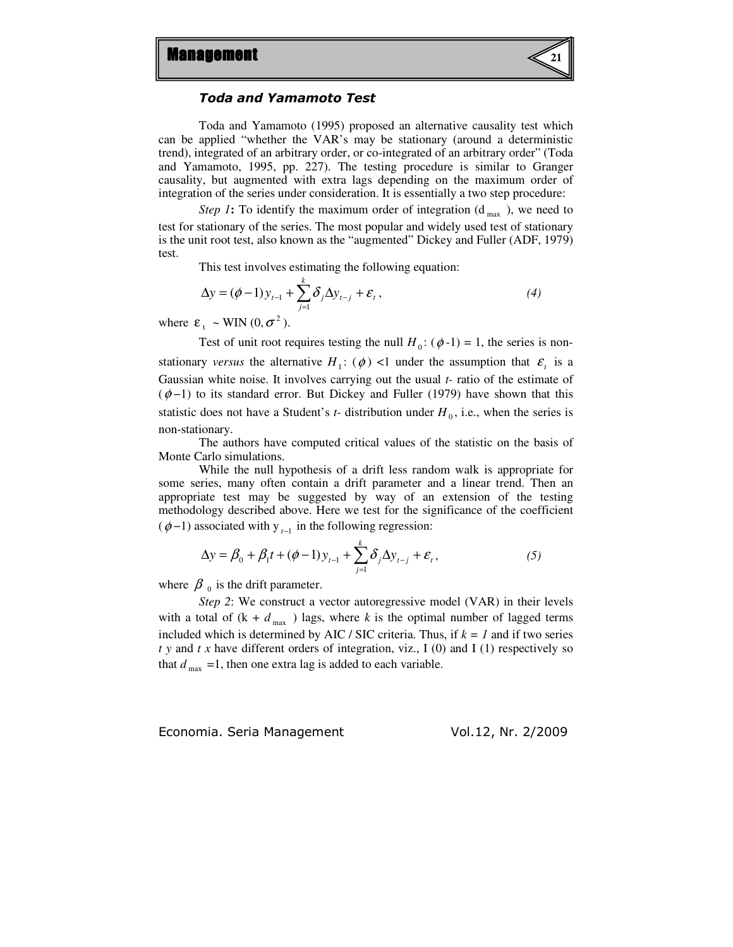

### Toda and Yamamoto Test

 Toda and Yamamoto (1995) proposed an alternative causality test which can be applied "whether the VAR's may be stationary (around a deterministic trend), integrated of an arbitrary order, or co-integrated of an arbitrary order" (Toda and Yamamoto, 1995, pp. 227). The testing procedure is similar to Granger causality, but augmented with extra lags depending on the maximum order of integration of the series under consideration. It is essentially a two step procedure:

*Step 1*: To identify the maximum order of integration  $(d_{max})$ , we need to test for stationary of the series. The most popular and widely used test of stationary is the unit root test, also known as the "augmented" Dickey and Fuller (ADF, 1979) test.

This test involves estimating the following equation:

$$
\Delta y = (\phi - 1) y_{t-1} + \sum_{j=1}^{k} \delta_j \Delta y_{t-j} + \varepsilon_t,
$$
\n(4)

where  $\epsilon_t \sim \text{WIN} (0, \sigma^2)$ .

Test of unit root requires testing the null  $H_0$ :  $(\phi -1) = 1$ , the series is nonstationary *versus* the alternative  $H_1$ : ( $\phi$ ) <1 under the assumption that  $\mathcal{E}_t$  is a Gaussian white noise. It involves carrying out the usual *t-* ratio of the estimate of  $(\phi -1)$  to its standard error. But Dickey and Fuller (1979) have shown that this statistic does not have a Student's  $t$ - distribution under  $H_0$ , i.e., when the series is non-stationary.

The authors have computed critical values of the statistic on the basis of Monte Carlo simulations.

While the null hypothesis of a drift less random walk is appropriate for some series, many often contain a drift parameter and a linear trend. Then an appropriate test may be suggested by way of an extension of the testing methodology described above. Here we test for the significance of the coefficient  $(φ-1)$  associated with y  $_{t-1}$  in the following regression:

$$
\Delta y = \beta_0 + \beta_1 t + (\phi - 1) y_{t-1} + \sum_{j=1}^k \delta_j \Delta y_{t-j} + \varepsilon_t,
$$
\n<sup>(5)</sup>

where  $\beta_0$  is the drift parameter.

*Step 2*: We construct a vector autoregressive model (VAR) in their levels with a total of  $(k + d_{max})$  lags, where *k* is the optimal number of lagged terms included which is determined by AIC / SIC criteria. Thus, if  $k = 1$  and if two series *t y* and *t x* have different orders of integration, viz., I (0) and I (1) respectively so that  $d_{\text{max}} = 1$ , then one extra lag is added to each variable.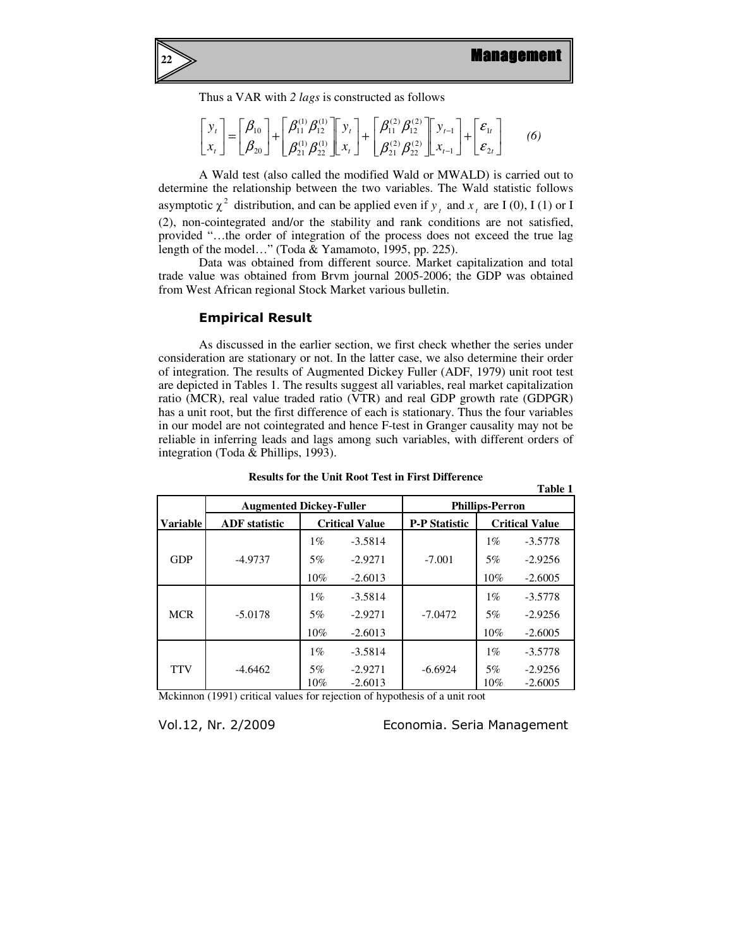Thus a VAR with *2 lags* is constructed as follows

$$
\begin{bmatrix} y_t \\ x_t \end{bmatrix} = \begin{bmatrix} \beta_{10} \\ \beta_{20} \end{bmatrix} + \begin{bmatrix} \beta_{11}^{(1)} \beta_{12}^{(1)} \\ \beta_{21}^{(1)} \beta_{22}^{(1)} \end{bmatrix} \begin{bmatrix} y_t \\ x_t \end{bmatrix} + \begin{bmatrix} \beta_{11}^{(2)} \beta_{12}^{(2)} \\ \beta_{21}^{(2)} \beta_{22}^{(2)} \end{bmatrix} \begin{bmatrix} y_{t-1} \\ x_{t-1} \end{bmatrix} + \begin{bmatrix} \varepsilon_{1t} \\ \varepsilon_{2t} \end{bmatrix}
$$
 (6)

A Wald test (also called the modified Wald or MWALD) is carried out to determine the relationship between the two variables. The Wald statistic follows asymptotic  $\chi^2$  distribution, and can be applied even if  $y_t$  and  $x_t$  are I (0), I (1) or I (2), non-cointegrated and/or the stability and rank conditions are not satisfied, provided "…the order of integration of the process does not exceed the true lag length of the model…" (Toda & Yamamoto, 1995, pp. 225).

Data was obtained from different source. Market capitalization and total trade value was obtained from Brvm journal 2005-2006; the GDP was obtained from West African regional Stock Market various bulletin.

#### Empirical Result

**22**

 As discussed in the earlier section, we first check whether the series under consideration are stationary or not. In the latter case, we also determine their order of integration. The results of Augmented Dickey Fuller (ADF, 1979) unit root test are depicted in Tables 1. The results suggest all variables, real market capitalization ratio (MCR), real value traded ratio (VTR) and real GDP growth rate (GDPGR) has a unit root, but the first difference of each is stationary. Thus the four variables in our model are not cointegrated and hence F-test in Granger causality may not be reliable in inferring leads and lags among such variables, with different orders of integration (Toda & Phillips, 1993).

|                 |                                |                       |           |                        |                       | Table 1   |
|-----------------|--------------------------------|-----------------------|-----------|------------------------|-----------------------|-----------|
|                 | <b>Augmented Dickey-Fuller</b> |                       |           | <b>Phillips-Perron</b> |                       |           |
| <b>Variable</b> | <b>ADF</b> statistic           | <b>Critical Value</b> |           | <b>P-P Statistic</b>   | <b>Critical Value</b> |           |
|                 |                                | $1\%$                 | $-3.5814$ |                        | $1\%$                 | $-3.5778$ |
| <b>GDP</b>      | $-4.9737$                      | 5%                    | $-2.9271$ | $-7.001$               | 5%                    | $-2.9256$ |
|                 |                                | 10%                   | $-2.6013$ |                        | 10%                   | $-2.6005$ |
|                 |                                | $1\%$                 | $-3.5814$ |                        | $1\%$                 | $-3.5778$ |
| <b>MCR</b>      | $-5.0178$                      | 5%                    | $-2.9271$ | $-7.0472$              | 5%                    | $-2.9256$ |
|                 |                                | 10%                   | $-2.6013$ |                        | 10%                   | $-2.6005$ |
|                 |                                | $1\%$                 | $-3.5814$ |                        | $1\%$                 | $-3.5778$ |
| <b>TTV</b>      | $-4.6462$                      | 5%                    | $-2.9271$ | $-6.6924$              | $5\%$                 | $-2.9256$ |
|                 |                                | 10%                   | $-2.6013$ |                        | 10%                   | $-2.6005$ |

**Results for the Unit Root Test in First Difference** 

Mckinnon (1991) critical values for rejection of hypothesis of a unit root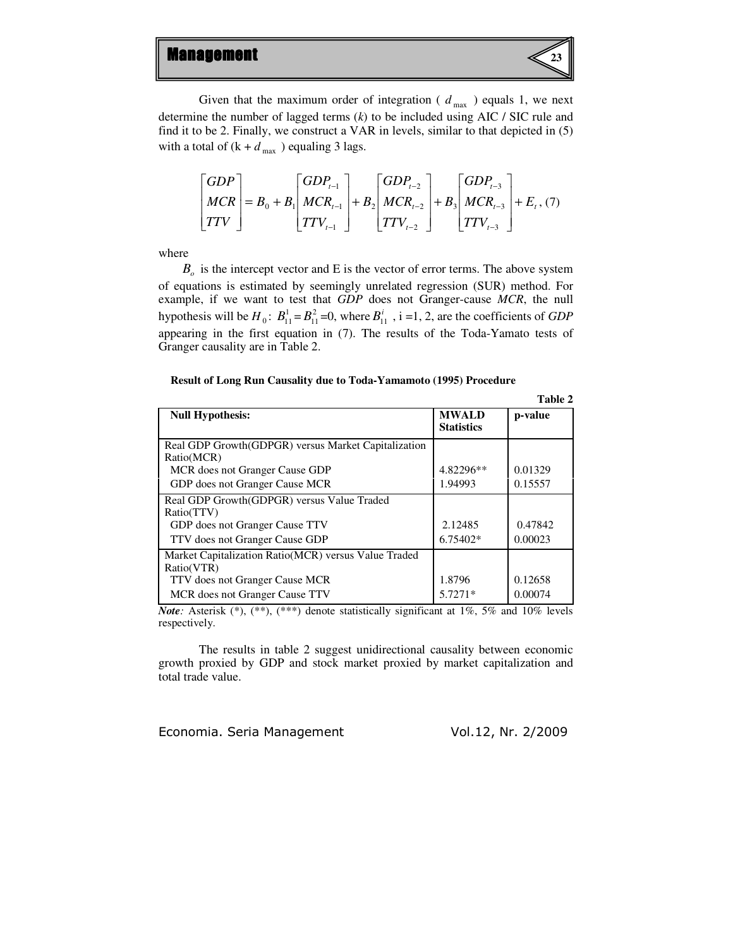Given that the maximum order of integration ( $d_{\text{max}}$ ) equals 1, we next determine the number of lagged terms (*k*) to be included using AIC / SIC rule and find it to be 2. Finally, we construct a VAR in levels, similar to that depicted in (5) with a total of  $(k + d_{max})$  equaling 3 lags.

$$
\begin{bmatrix} GDP \\ MCR \\ TTV \end{bmatrix} = B_0 + B_1 \begin{bmatrix} GDP_{t-1} \\ MCR_{t-1} \\ TTV_{t-1} \end{bmatrix} + B_2 \begin{bmatrix} GDP_{t-2} \\ MCR_{t-2} \\ TTV_{t-2} \end{bmatrix} + B_3 \begin{bmatrix} GDP_{t-3} \\ MCR_{t-3} \\ TTV_{t-3} \end{bmatrix} + E_t, (7)
$$

where

 $B_{\rho}$  is the intercept vector and E is the vector of error terms. The above system of equations is estimated by seemingly unrelated regression (SUR) method. For example, if we want to test that *GDP* does not Granger-cause *MCR*, the null hypothesis will be  $H_0$ :  $B_{11}^1 = B_{11}^2 = 0$ , where  $B_{11}^i$ , i =1, 2, are the coefficients of *GDP* appearing in the first equation in (7). The results of the Toda-Yamato tests of Granger causality are in Table 2.

#### **Result of Long Run Causality due to Toda-Yamamoto (1995) Procedure**

**Table 2** 

**23**

|                                                       |                                   | 1 ами 2 |
|-------------------------------------------------------|-----------------------------------|---------|
| <b>Null Hypothesis:</b>                               | <b>MWALD</b><br><b>Statistics</b> | p-value |
| Real GDP Growth (GDPGR) versus Market Capitalization  |                                   |         |
| Ratio(MCR)                                            |                                   |         |
| MCR does not Granger Cause GDP                        | 4.82296**                         | 0.01329 |
| GDP does not Granger Cause MCR                        | 1.94993                           | 0.15557 |
| Real GDP Growth (GDPGR) versus Value Traded           |                                   |         |
| Ratio(TTV)                                            |                                   |         |
| GDP does not Granger Cause TTV                        | 2.12485                           | 0.47842 |
| TTV does not Granger Cause GDP                        | $6.75402*$                        | 0.00023 |
| Market Capitalization Ratio (MCR) versus Value Traded |                                   |         |
| Ratio(VTR)                                            |                                   |         |
| TTV does not Granger Cause MCR                        | 1.8796                            | 0.12658 |
| MCR does not Granger Cause TTV                        | $5.7271*$                         | 0.00074 |

*Note*: Asterisk (\*), (\*\*), (\*\*\*) denote statistically significant at 1%, 5% and 10% levels respectively.

The results in table 2 suggest unidirectional causality between economic growth proxied by GDP and stock market proxied by market capitalization and total trade value.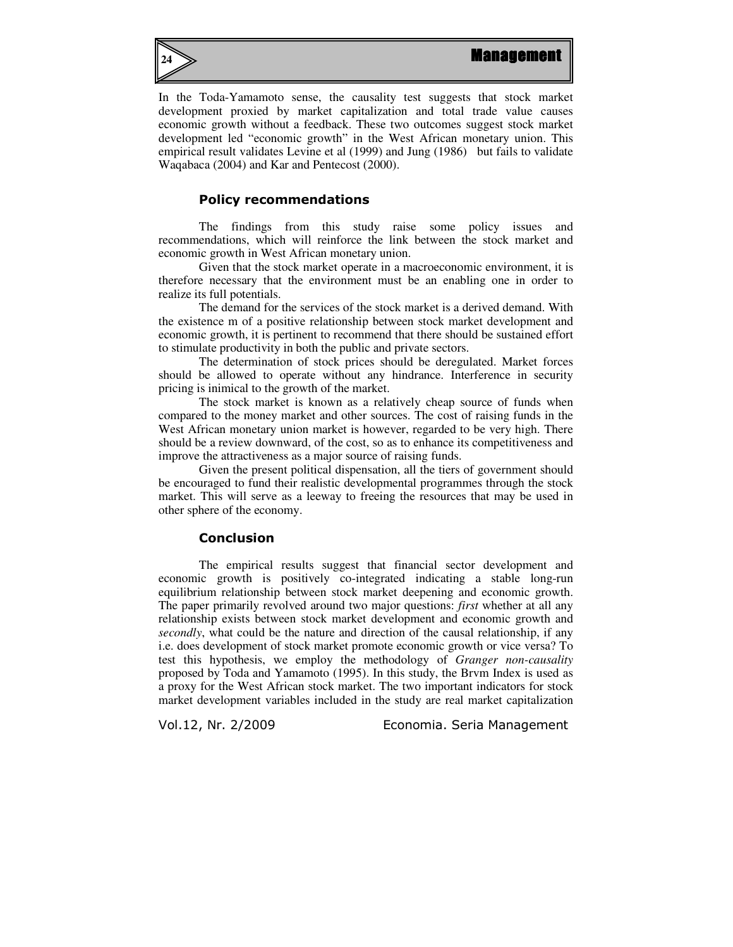



In the Toda-Yamamoto sense, the causality test suggests that stock market development proxied by market capitalization and total trade value causes economic growth without a feedback. These two outcomes suggest stock market development led "economic growth" in the West African monetary union. This empirical result validates Levine et al (1999) and Jung (1986) but fails to validate Waqabaca (2004) and Kar and Pentecost (2000).

### Policy recommendations

The findings from this study raise some policy issues and recommendations, which will reinforce the link between the stock market and economic growth in West African monetary union.

Given that the stock market operate in a macroeconomic environment, it is therefore necessary that the environment must be an enabling one in order to realize its full potentials.

The demand for the services of the stock market is a derived demand. With the existence m of a positive relationship between stock market development and economic growth, it is pertinent to recommend that there should be sustained effort to stimulate productivity in both the public and private sectors.

The determination of stock prices should be deregulated. Market forces should be allowed to operate without any hindrance. Interference in security pricing is inimical to the growth of the market.

The stock market is known as a relatively cheap source of funds when compared to the money market and other sources. The cost of raising funds in the West African monetary union market is however, regarded to be very high. There should be a review downward, of the cost, so as to enhance its competitiveness and improve the attractiveness as a major source of raising funds.

Given the present political dispensation, all the tiers of government should be encouraged to fund their realistic developmental programmes through the stock market. This will serve as a leeway to freeing the resources that may be used in other sphere of the economy.

#### Conclusion

 The empirical results suggest that financial sector development and economic growth is positively co-integrated indicating a stable long-run equilibrium relationship between stock market deepening and economic growth. The paper primarily revolved around two major questions: *first* whether at all any relationship exists between stock market development and economic growth and *secondly*, what could be the nature and direction of the causal relationship, if any i.e. does development of stock market promote economic growth or vice versa? To test this hypothesis, we employ the methodology of *Granger non-causality*  proposed by Toda and Yamamoto (1995). In this study, the Brvm Index is used as a proxy for the West African stock market. The two important indicators for stock market development variables included in the study are real market capitalization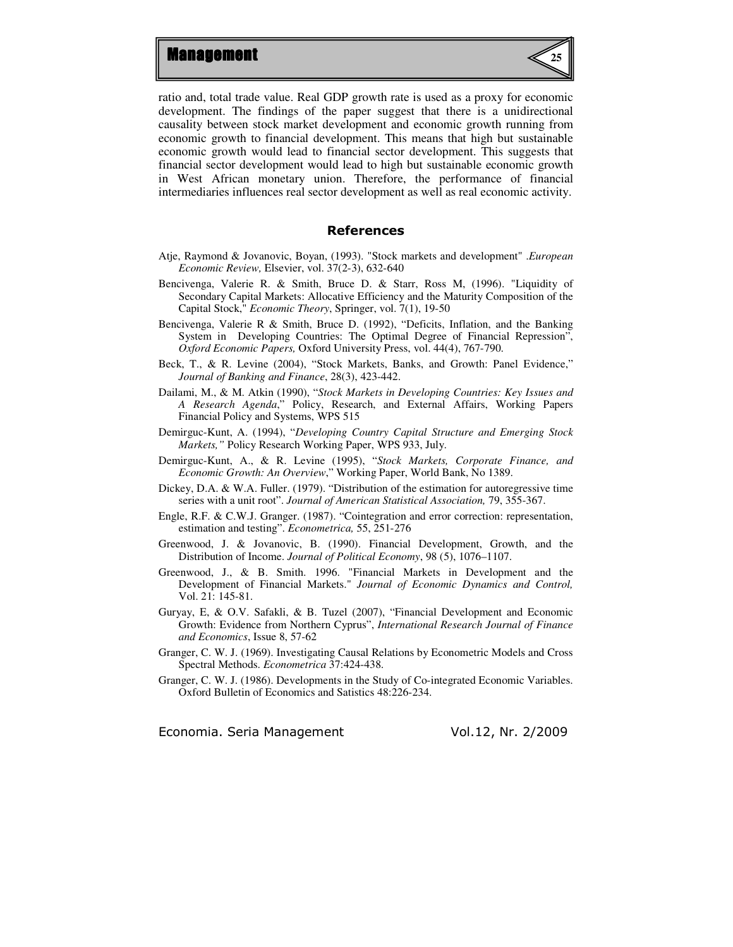

ratio and, total trade value. Real GDP growth rate is used as a proxy for economic development. The findings of the paper suggest that there is a unidirectional causality between stock market development and economic growth running from economic growth to financial development. This means that high but sustainable economic growth would lead to financial sector development. This suggests that financial sector development would lead to high but sustainable economic growth in West African monetary union. Therefore, the performance of financial intermediaries influences real sector development as well as real economic activity.

#### References

- Atje, Raymond & Jovanovic, Boyan, (1993). "Stock markets and development" .*European Economic Review,* Elsevier, vol. 37(2-3), 632-640
- Bencivenga, Valerie R. & Smith, Bruce D. & Starr, Ross M, (1996). "Liquidity of Secondary Capital Markets: Allocative Efficiency and the Maturity Composition of the Capital Stock," *Economic Theory*, Springer, vol. 7(1), 19-50
- Bencivenga, Valerie R & Smith, Bruce D. (1992), "Deficits, Inflation, and the Banking System in Developing Countries: The Optimal Degree of Financial Repression", *Oxford Economic Papers,* Oxford University Press, vol. 44(4), 767-790.
- Beck, T., & R. Levine (2004), "Stock Markets, Banks, and Growth: Panel Evidence," *Journal of Banking and Finance*, 28(3), 423-442.
- Dailami, M., & M. Atkin (1990), "*Stock Markets in Developing Countries: Key Issues and A Research Agenda*," Policy, Research, and External Affairs, Working Papers Financial Policy and Systems, WPS 515
- Demirguc-Kunt, A. (1994), "*Developing Country Capital Structure and Emerging Stock Markets,"* Policy Research Working Paper, WPS 933, July.
- Demirguc-Kunt, A., & R. Levine (1995), "*Stock Markets, Corporate Finance, and Economic Growth: An Overview*," Working Paper, World Bank, No 1389.
- Dickey, D.A. & W.A. Fuller. (1979). "Distribution of the estimation for autoregressive time series with a unit root". *Journal of American Statistical Association,* 79, 355-367.
- Engle, R.F. & C.W.J. Granger. (1987). "Cointegration and error correction: representation, estimation and testing". *Econometrica,* 55, 251-276
- Greenwood, J. & Jovanovic, B. (1990). Financial Development, Growth, and the Distribution of Income. *Journal of Political Economy*, 98 (5), 1076–1107.
- Greenwood, J., & B. Smith. 1996. "Financial Markets in Development and the Development of Financial Markets." *Journal of Economic Dynamics and Control,*  Vol. 21: 145-81.
- Guryay, E, & O.V. Safakli, & B. Tuzel (2007), "Financial Development and Economic Growth: Evidence from Northern Cyprus", *International Research Journal of Finance and Economics*, Issue 8, 57-62
- Granger, C. W. J. (1969). Investigating Causal Relations by Econometric Models and Cross Spectral Methods. *Econometrica* 37:424-438.
- Granger, C. W. J. (1986). Developments in the Study of Co-integrated Economic Variables. Oxford Bulletin of Economics and Satistics 48:226-234.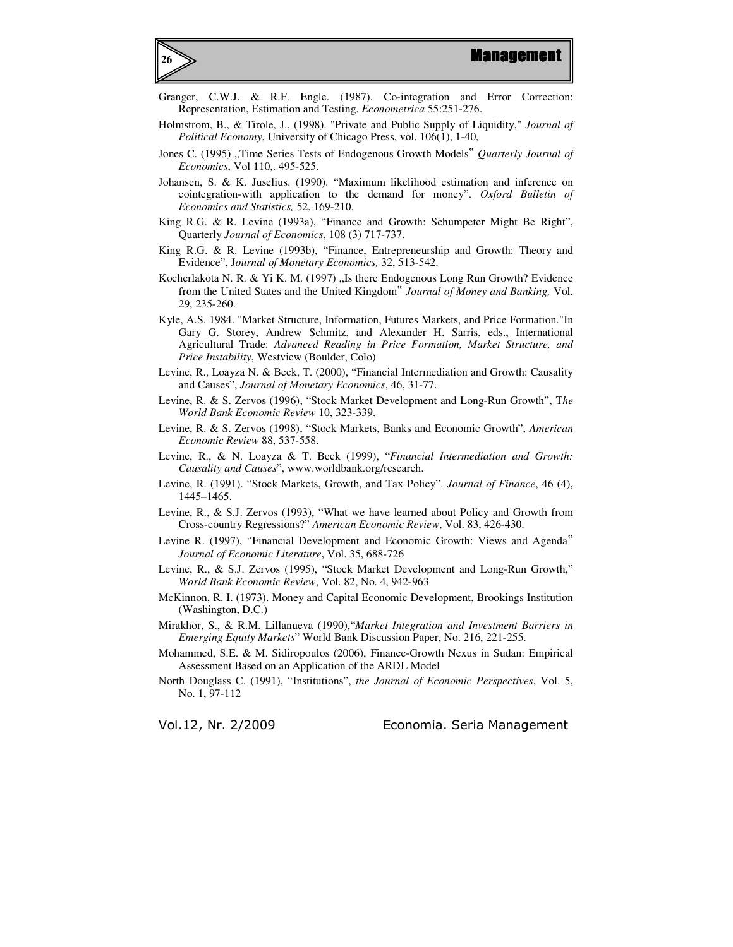

- Granger, C.W.J. & R.F. Engle. (1987). Co-integration and Error Correction: Representation, Estimation and Testing. *Econometrica* 55:251-276.
- Holmstrom, B., & Tirole, J., (1998). "Private and Public Supply of Liquidity," *Journal of Political Economy*, University of Chicago Press, vol. 106(1), 1-40,
- Jones C. (1995) "Time Series Tests of Endogenous Growth Models" *Quarterly Journal of Economics*, Vol 110,. 495-525.
- Johansen, S. & K. Juselius. (1990). "Maximum likelihood estimation and inference on cointegration-with application to the demand for money". *Oxford Bulletin of Economics and Statistics,* 52, 169-210.
- King R.G. & R. Levine (1993a), "Finance and Growth: Schumpeter Might Be Right", Quarterly *Journal of Economics*, 108 (3) 717-737.
- King R.G. & R. Levine (1993b), "Finance, Entrepreneurship and Growth: Theory and Evidence", J*ournal of Monetary Economics,* 32, 513-542.
- Kocherlakota N. R. & Yi K. M. (1997) "Is there Endogenous Long Run Growth? Evidence from the United States and the United Kingdom" *Journal of Money and Banking,* Vol. 29, 235-260.
- Kyle, A.S. 1984. "Market Structure, Information, Futures Markets, and Price Formation."In Gary G. Storey, Andrew Schmitz, and Alexander H. Sarris, eds., International Agricultural Trade: *Advanced Reading in Price Formation, Market Structure, and Price Instability*, Westview (Boulder, Colo)
- Levine, R., Loayza N. & Beck, T. (2000), "Financial Intermediation and Growth: Causality and Causes", *Journal of Monetary Economics*, 46, 31-77.
- Levine, R. & S. Zervos (1996), "Stock Market Development and Long-Run Growth", T*he World Bank Economic Review* 10, 323-339.
- Levine, R. & S. Zervos (1998), "Stock Markets, Banks and Economic Growth", *American Economic Review* 88, 537-558.
- Levine, R., & N. Loayza & T. Beck (1999), "*Financial Intermediation and Growth: Causality and Causes*", www.worldbank.org/research.
- Levine, R. (1991). "Stock Markets, Growth, and Tax Policy". *Journal of Finance*, 46 (4), 1445–1465.
- Levine, R., & S.J. Zervos (1993), "What we have learned about Policy and Growth from Cross-country Regressions?" *American Economic Review*, Vol. 83, 426-430.
- Levine R. (1997), "Financial Development and Economic Growth: Views and Agenda" *Journal of Economic Literature*, Vol. 35, 688-726
- Levine, R., & S.J. Zervos (1995), "Stock Market Development and Long-Run Growth," *World Bank Economic Review*, Vol. 82, No. 4, 942-963
- McKinnon, R. I. (1973). Money and Capital Economic Development, Brookings Institution (Washington, D.C.)
- Mirakhor, S., & R.M. Lillanueva (1990),"*Market Integration and Investment Barriers in Emerging Equity Markets*" World Bank Discussion Paper, No. 216, 221-255.
- Mohammed, S.E. & M. Sidiropoulos (2006), Finance-Growth Nexus in Sudan: Empirical Assessment Based on an Application of the ARDL Model
- North Douglass C. (1991), "Institutions", *the Journal of Economic Perspectives*, Vol. 5, No. 1, 97-112